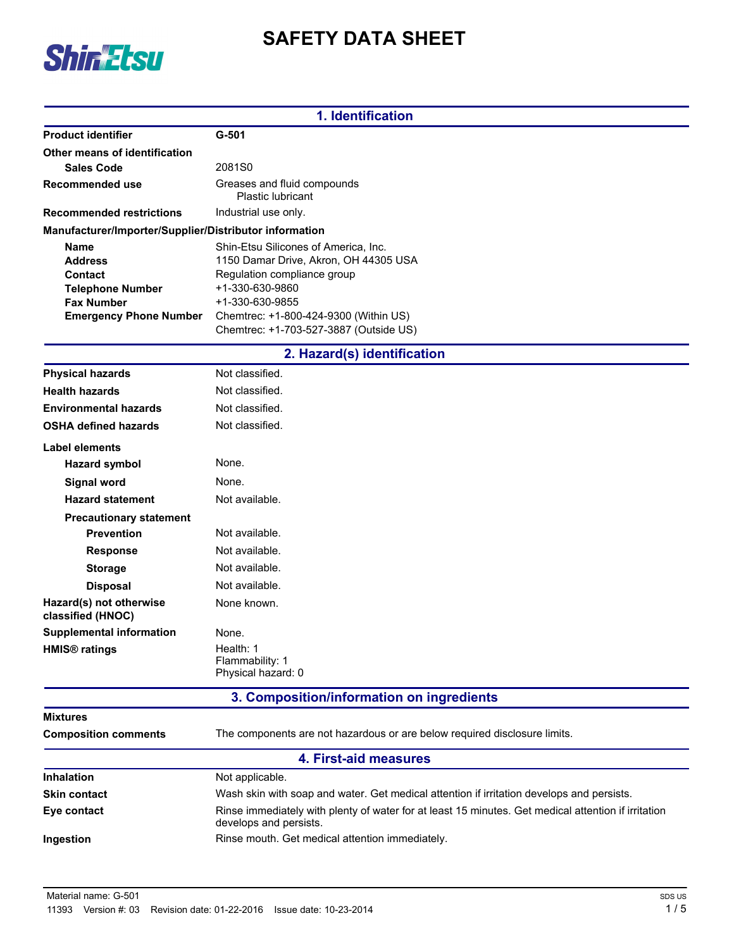# **SAFETY DATA SHEET**



|                                                        | 1. Identification                                                                                                             |
|--------------------------------------------------------|-------------------------------------------------------------------------------------------------------------------------------|
| <b>Product identifier</b>                              | $G-501$                                                                                                                       |
| Other means of identification                          |                                                                                                                               |
| <b>Sales Code</b>                                      | 2081S0                                                                                                                        |
| <b>Recommended use</b>                                 | Greases and fluid compounds<br><b>Plastic lubricant</b>                                                                       |
| <b>Recommended restrictions</b>                        | Industrial use only.                                                                                                          |
| Manufacturer/Importer/Supplier/Distributor information |                                                                                                                               |
| Name                                                   | Shin-Etsu Silicones of America, Inc.                                                                                          |
| <b>Address</b>                                         | 1150 Damar Drive, Akron, OH 44305 USA                                                                                         |
| <b>Contact</b>                                         | Regulation compliance group<br>+1-330-630-9860                                                                                |
| <b>Telephone Number</b><br><b>Fax Number</b>           | +1-330-630-9855                                                                                                               |
| <b>Emergency Phone Number</b>                          | Chemtrec: +1-800-424-9300 (Within US)                                                                                         |
|                                                        | Chemtrec: +1-703-527-3887 (Outside US)                                                                                        |
|                                                        | 2. Hazard(s) identification                                                                                                   |
| <b>Physical hazards</b>                                | Not classified.                                                                                                               |
| <b>Health hazards</b>                                  | Not classified.                                                                                                               |
| <b>Environmental hazards</b>                           | Not classified.                                                                                                               |
| <b>OSHA defined hazards</b>                            | Not classified.                                                                                                               |
| Label elements                                         |                                                                                                                               |
| <b>Hazard symbol</b>                                   | None.                                                                                                                         |
| <b>Signal word</b>                                     | None.                                                                                                                         |
| <b>Hazard statement</b>                                | Not available.                                                                                                                |
| <b>Precautionary statement</b>                         |                                                                                                                               |
| <b>Prevention</b>                                      | Not available.                                                                                                                |
| <b>Response</b>                                        | Not available.                                                                                                                |
| <b>Storage</b>                                         | Not available.                                                                                                                |
| <b>Disposal</b>                                        | Not available.                                                                                                                |
| Hazard(s) not otherwise<br>classified (HNOC)           | None known.                                                                                                                   |
| <b>Supplemental information</b>                        | None.                                                                                                                         |
| <b>HMIS<sup>®</sup></b> ratings                        | Health: 1                                                                                                                     |
|                                                        | Flammability: 1                                                                                                               |
|                                                        | Physical hazard: 0                                                                                                            |
|                                                        | 3. Composition/information on ingredients                                                                                     |
| <b>Mixtures</b>                                        |                                                                                                                               |
| <b>Composition comments</b>                            | The components are not hazardous or are below required disclosure limits.                                                     |
|                                                        | 4. First-aid measures                                                                                                         |
| Inhalation                                             | Not applicable.                                                                                                               |
| <b>Skin contact</b>                                    | Wash skin with soap and water. Get medical attention if irritation develops and persists.                                     |
| Eye contact                                            | Rinse immediately with plenty of water for at least 15 minutes. Get medical attention if irritation<br>develops and persists. |
| Ingestion                                              | Rinse mouth. Get medical attention immediately.                                                                               |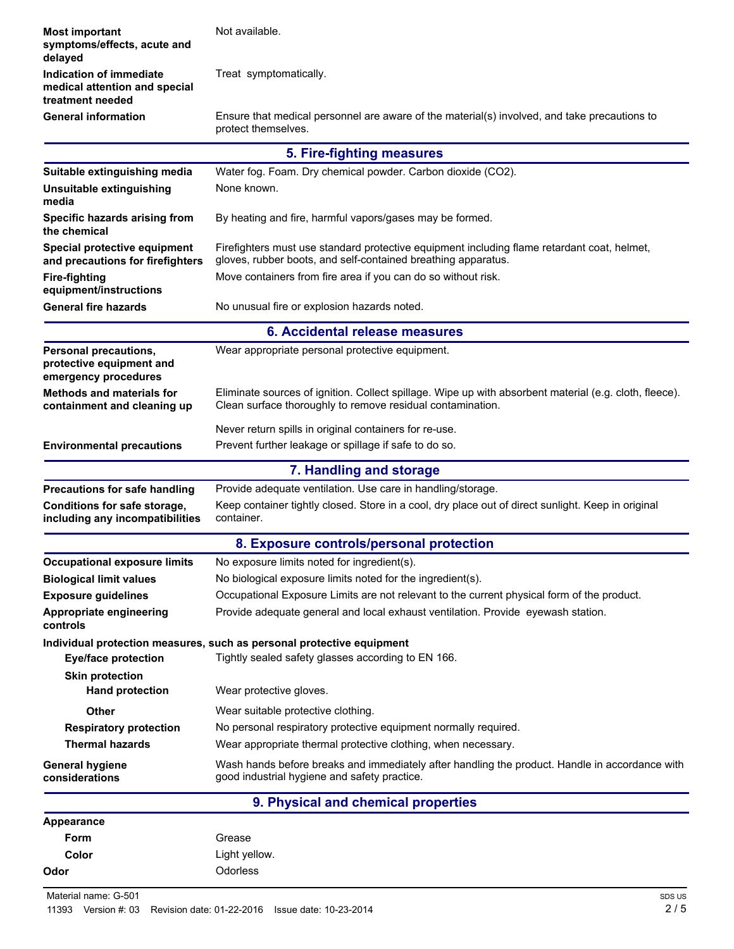| <b>Most important</b><br>symptoms/effects, acute and<br>delayed              | Not available.                                                                                                                                                       |  |  |  |
|------------------------------------------------------------------------------|----------------------------------------------------------------------------------------------------------------------------------------------------------------------|--|--|--|
| Indication of immediate<br>medical attention and special<br>treatment needed | Treat symptomatically.                                                                                                                                               |  |  |  |
| <b>General information</b>                                                   | Ensure that medical personnel are aware of the material(s) involved, and take precautions to<br>protect themselves.                                                  |  |  |  |
|                                                                              | 5. Fire-fighting measures                                                                                                                                            |  |  |  |
| Suitable extinguishing media                                                 | Water fog. Foam. Dry chemical powder. Carbon dioxide (CO2).                                                                                                          |  |  |  |
| Unsuitable extinguishing<br>media                                            | None known.                                                                                                                                                          |  |  |  |
| Specific hazards arising from<br>the chemical                                | By heating and fire, harmful vapors/gases may be formed.                                                                                                             |  |  |  |
| Special protective equipment<br>and precautions for firefighters             | Firefighters must use standard protective equipment including flame retardant coat, helmet,<br>gloves, rubber boots, and self-contained breathing apparatus.         |  |  |  |
| <b>Fire-fighting</b><br>equipment/instructions                               | Move containers from fire area if you can do so without risk.                                                                                                        |  |  |  |
| <b>General fire hazards</b>                                                  | No unusual fire or explosion hazards noted.                                                                                                                          |  |  |  |
| 6. Accidental release measures                                               |                                                                                                                                                                      |  |  |  |
| Personal precautions,<br>protective equipment and<br>emergency procedures    | Wear appropriate personal protective equipment.                                                                                                                      |  |  |  |
| <b>Methods and materials for</b><br>containment and cleaning up              | Eliminate sources of ignition. Collect spillage. Wipe up with absorbent material (e.g. cloth, fleece).<br>Clean surface thoroughly to remove residual contamination. |  |  |  |
| <b>Environmental precautions</b>                                             | Never return spills in original containers for re-use.<br>Prevent further leakage or spillage if safe to do so.                                                      |  |  |  |
| 7. Handling and storage                                                      |                                                                                                                                                                      |  |  |  |
|                                                                              |                                                                                                                                                                      |  |  |  |
| <b>Precautions for safe handling</b>                                         | Provide adequate ventilation. Use care in handling/storage.                                                                                                          |  |  |  |
| Conditions for safe storage,<br>including any incompatibilities              | Keep container tightly closed. Store in a cool, dry place out of direct sunlight. Keep in original<br>container.                                                     |  |  |  |
|                                                                              | 8. Exposure controls/personal protection                                                                                                                             |  |  |  |
| <b>Occupational exposure limits</b>                                          | No exposure limits noted for ingredient(s).                                                                                                                          |  |  |  |
| <b>Biological limit values</b>                                               | No biological exposure limits noted for the ingredient(s).                                                                                                           |  |  |  |
| <b>Exposure guidelines</b>                                                   | Occupational Exposure Limits are not relevant to the current physical form of the product.                                                                           |  |  |  |
| Appropriate engineering<br>controls                                          | Provide adequate general and local exhaust ventilation. Provide eyewash station.                                                                                     |  |  |  |
|                                                                              | Individual protection measures, such as personal protective equipment                                                                                                |  |  |  |
| <b>Eye/face protection</b>                                                   | Tightly sealed safety glasses according to EN 166.                                                                                                                   |  |  |  |
| <b>Skin protection</b><br><b>Hand protection</b>                             | Wear protective gloves.                                                                                                                                              |  |  |  |
| <b>Other</b>                                                                 | Wear suitable protective clothing.                                                                                                                                   |  |  |  |
| <b>Respiratory protection</b>                                                | No personal respiratory protective equipment normally required.                                                                                                      |  |  |  |
| <b>Thermal hazards</b>                                                       | Wear appropriate thermal protective clothing, when necessary.                                                                                                        |  |  |  |
| <b>General hygiene</b><br>considerations                                     | Wash hands before breaks and immediately after handling the product. Handle in accordance with<br>good industrial hygiene and safety practice.                       |  |  |  |
|                                                                              | 9. Physical and chemical properties                                                                                                                                  |  |  |  |
| <b>Appearance</b>                                                            |                                                                                                                                                                      |  |  |  |
| Form                                                                         | Grease                                                                                                                                                               |  |  |  |
| Color                                                                        | Light yellow.                                                                                                                                                        |  |  |  |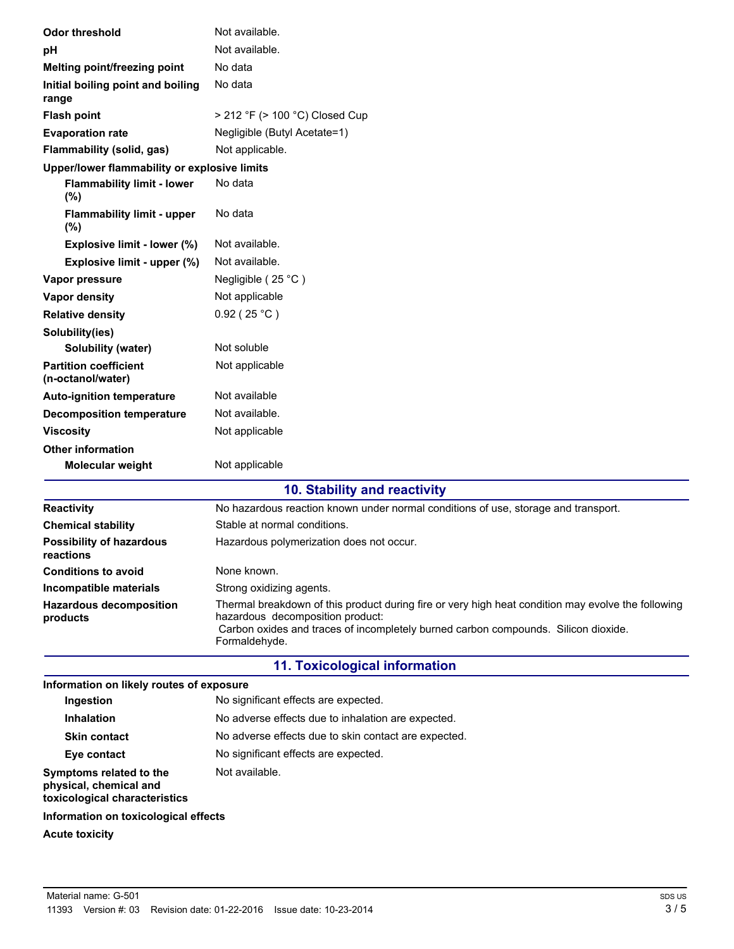| <b>Odor threshold</b>                             | Not available.                                                                                                                                                                                                                                |  |  |  |  |
|---------------------------------------------------|-----------------------------------------------------------------------------------------------------------------------------------------------------------------------------------------------------------------------------------------------|--|--|--|--|
| рH                                                | Not available.                                                                                                                                                                                                                                |  |  |  |  |
| Melting point/freezing point                      | No data                                                                                                                                                                                                                                       |  |  |  |  |
| Initial boiling point and boiling<br>range        | No data                                                                                                                                                                                                                                       |  |  |  |  |
| <b>Flash point</b>                                | > 212 °F (> 100 °C) Closed Cup                                                                                                                                                                                                                |  |  |  |  |
| <b>Evaporation rate</b>                           | Negligible (Butyl Acetate=1)                                                                                                                                                                                                                  |  |  |  |  |
| Flammability (solid, gas)                         | Not applicable.                                                                                                                                                                                                                               |  |  |  |  |
| Upper/lower flammability or explosive limits      |                                                                                                                                                                                                                                               |  |  |  |  |
| <b>Flammability limit - lower</b><br>(%)          | No data                                                                                                                                                                                                                                       |  |  |  |  |
| <b>Flammability limit - upper</b><br>$(\%)$       | No data                                                                                                                                                                                                                                       |  |  |  |  |
| Explosive limit - lower (%)                       | Not available.                                                                                                                                                                                                                                |  |  |  |  |
| Explosive limit - upper (%)                       | Not available.                                                                                                                                                                                                                                |  |  |  |  |
| Vapor pressure                                    | Negligible (25 °C)                                                                                                                                                                                                                            |  |  |  |  |
| Vapor density                                     | Not applicable                                                                                                                                                                                                                                |  |  |  |  |
| <b>Relative density</b>                           | $0.92$ (25 °C)                                                                                                                                                                                                                                |  |  |  |  |
| Solubility(ies)                                   |                                                                                                                                                                                                                                               |  |  |  |  |
| Solubility (water)                                | Not soluble                                                                                                                                                                                                                                   |  |  |  |  |
| <b>Partition coefficient</b><br>(n-octanol/water) | Not applicable                                                                                                                                                                                                                                |  |  |  |  |
| <b>Auto-ignition temperature</b>                  | Not available                                                                                                                                                                                                                                 |  |  |  |  |
| <b>Decomposition temperature</b>                  | Not available.                                                                                                                                                                                                                                |  |  |  |  |
| <b>Viscosity</b>                                  | Not applicable                                                                                                                                                                                                                                |  |  |  |  |
| <b>Other information</b>                          |                                                                                                                                                                                                                                               |  |  |  |  |
| Molecular weight                                  | Not applicable                                                                                                                                                                                                                                |  |  |  |  |
|                                                   | 10. Stability and reactivity                                                                                                                                                                                                                  |  |  |  |  |
| <b>Reactivity</b>                                 | No hazardous reaction known under normal conditions of use, storage and transport.                                                                                                                                                            |  |  |  |  |
| <b>Chemical stability</b>                         | Stable at normal conditions.                                                                                                                                                                                                                  |  |  |  |  |
| <b>Possibility of hazardous</b><br>reactions      | Hazardous polymerization does not occur.                                                                                                                                                                                                      |  |  |  |  |
| <b>Conditions to avoid</b>                        | None known.                                                                                                                                                                                                                                   |  |  |  |  |
| Incompatible materials                            | Strong oxidizing agents.                                                                                                                                                                                                                      |  |  |  |  |
| <b>Hazardous decomposition</b><br>products        | Thermal breakdown of this product during fire or very high heat condition may evolve the following<br>hazardous decomposition product:<br>Carbon oxides and traces of incompletely burned carbon compounds. Silicon dioxide.<br>Formaldehyde. |  |  |  |  |
|                                                   | <b>11. Toxicological information</b>                                                                                                                                                                                                          |  |  |  |  |
| Information on likely routes of exposure          |                                                                                                                                                                                                                                               |  |  |  |  |
| Ingestion                                         | No significant effects are expected.                                                                                                                                                                                                          |  |  |  |  |
| <b>Inhalation</b>                                 | No adverse effects due to inhalation are expected.                                                                                                                                                                                            |  |  |  |  |
| <b>Skin contact</b>                               | No adverse effects due to skin contact are expected.                                                                                                                                                                                          |  |  |  |  |
| Eye contact                                       | No significant effects are expected.                                                                                                                                                                                                          |  |  |  |  |
| Symptoms related to the<br>physical, chemical and | Not available.                                                                                                                                                                                                                                |  |  |  |  |

## **Information on toxicological effects**

**toxicological characteristics**

**Acute toxicity**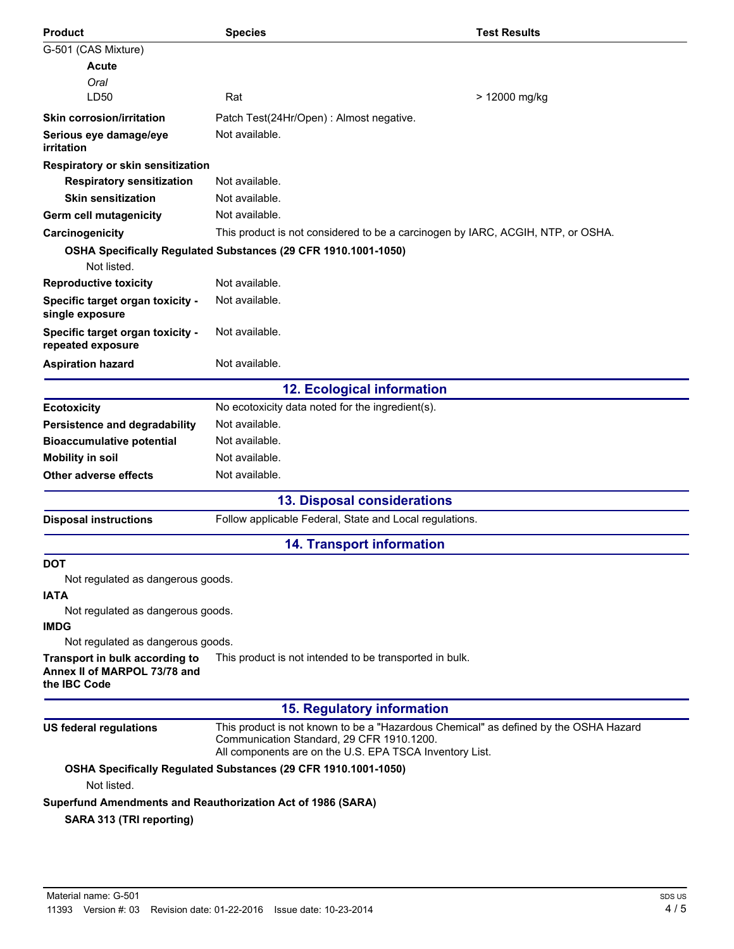| <b>Product</b>                                        | <b>Species</b>                                                                                                                                                                               | <b>Test Results</b> |
|-------------------------------------------------------|----------------------------------------------------------------------------------------------------------------------------------------------------------------------------------------------|---------------------|
| G-501 (CAS Mixture)                                   |                                                                                                                                                                                              |                     |
| Acute                                                 |                                                                                                                                                                                              |                     |
| Oral                                                  |                                                                                                                                                                                              |                     |
| LD50                                                  | Rat                                                                                                                                                                                          | > 12000 mg/kg       |
| <b>Skin corrosion/irritation</b>                      | Patch Test(24Hr/Open) : Almost negative.                                                                                                                                                     |                     |
| Serious eye damage/eye<br>irritation                  | Not available.                                                                                                                                                                               |                     |
| Respiratory or skin sensitization                     |                                                                                                                                                                                              |                     |
| <b>Respiratory sensitization</b>                      | Not available.                                                                                                                                                                               |                     |
| <b>Skin sensitization</b>                             | Not available.                                                                                                                                                                               |                     |
| Germ cell mutagenicity                                | Not available.                                                                                                                                                                               |                     |
| Carcinogenicity                                       | This product is not considered to be a carcinogen by IARC, ACGIH, NTP, or OSHA.                                                                                                              |                     |
| Not listed.                                           | OSHA Specifically Regulated Substances (29 CFR 1910.1001-1050)                                                                                                                               |                     |
| <b>Reproductive toxicity</b>                          | Not available.                                                                                                                                                                               |                     |
| Specific target organ toxicity -<br>single exposure   | Not available.                                                                                                                                                                               |                     |
| Specific target organ toxicity -<br>repeated exposure | Not available.                                                                                                                                                                               |                     |
| <b>Aspiration hazard</b>                              | Not available.                                                                                                                                                                               |                     |
|                                                       | <b>12. Ecological information</b>                                                                                                                                                            |                     |
| <b>Ecotoxicity</b>                                    | No ecotoxicity data noted for the ingredient(s).                                                                                                                                             |                     |
| Persistence and degradability                         | Not available.                                                                                                                                                                               |                     |
| <b>Bioaccumulative potential</b>                      | Not available.                                                                                                                                                                               |                     |
| <b>Mobility in soil</b>                               | Not available.                                                                                                                                                                               |                     |
| Other adverse effects                                 | Not available.                                                                                                                                                                               |                     |
|                                                       | <b>13. Disposal considerations</b>                                                                                                                                                           |                     |
| <b>Disposal instructions</b>                          | Follow applicable Federal, State and Local regulations.                                                                                                                                      |                     |
|                                                       | <b>14. Transport information</b>                                                                                                                                                             |                     |
| <b>DOT</b>                                            |                                                                                                                                                                                              |                     |
| Not regulated as dangerous goods.                     |                                                                                                                                                                                              |                     |
| <b>IATA</b>                                           |                                                                                                                                                                                              |                     |
| Not regulated as dangerous goods.<br><b>IMDG</b>      |                                                                                                                                                                                              |                     |
| Not regulated as dangerous goods.                     |                                                                                                                                                                                              |                     |
| Transport in bulk according to                        | This product is not intended to be transported in bulk.                                                                                                                                      |                     |
| Annex II of MARPOL 73/78 and<br>the IBC Code          |                                                                                                                                                                                              |                     |
|                                                       | <b>15. Regulatory information</b>                                                                                                                                                            |                     |
| <b>US federal regulations</b>                         | This product is not known to be a "Hazardous Chemical" as defined by the OSHA Hazard<br>Communication Standard, 29 CFR 1910.1200.<br>All components are on the U.S. EPA TSCA Inventory List. |                     |
| Not listed.                                           | OSHA Specifically Regulated Substances (29 CFR 1910.1001-1050)                                                                                                                               |                     |
| SARA 313 (TRI reporting)                              | Superfund Amendments and Reauthorization Act of 1986 (SARA)                                                                                                                                  |                     |